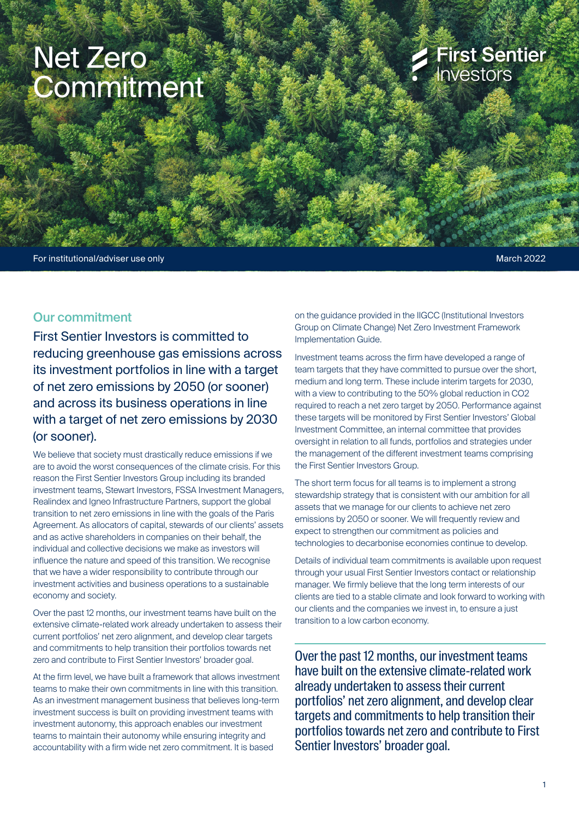# Net Zero **Commitment**

## **First Sentier** Investors

For institutional/adviser use only example of the contract of the contract of the contract of the March 2022

## Our commitment

First Sentier Investors is committed to reducing greenhouse gas emissions across its investment portfolios in line with a target of net zero emissions by 2050 (or sooner) and across its business operations in line with a target of net zero emissions by 2030 (or sooner).

We believe that society must drastically reduce emissions if we are to avoid the worst consequences of the climate crisis. For this reason the First Sentier Investors Group including its branded investment teams, Stewart Investors, FSSA Investment Managers, Realindex and Igneo Infrastructure Partners, support the global transition to net zero emissions in line with the goals of the Paris Agreement. As allocators of capital, stewards of our clients' assets and as active shareholders in companies on their behalf, the individual and collective decisions we make as investors will influence the nature and speed of this transition. We recognise that we have a wider responsibility to contribute through our investment activities and business operations to a sustainable economy and society.

Over the past 12 months, our investment teams have built on the extensive climate-related work already undertaken to assess their current portfolios' net zero alignment, and develop clear targets and commitments to help transition their portfolios towards net zero and contribute to First Sentier Investors' broader goal.

At the firm level, we have built a framework that allows investment teams to make their own commitments in line with this transition. As an investment management business that believes long-term investment success is built on providing investment teams with investment autonomy, this approach enables our investment teams to maintain their autonomy while ensuring integrity and accountability with a firm wide net zero commitment. It is based

on the guidance provided in the IIGCC (Institutional Investors Group on Climate Change) Net Zero Investment Framework Implementation Guide.

Investment teams across the firm have developed a range of team targets that they have committed to pursue over the short, medium and long term. These include interim targets for 2030, with a view to contributing to the 50% global reduction in CO2 required to reach a net zero target by 2050. Performance against these targets will be monitored by First Sentier Investors' Global Investment Committee, an internal committee that provides oversight in relation to all funds, portfolios and strategies under the management of the different investment teams comprising the First Sentier Investors Group.

The short term focus for all teams is to implement a strong stewardship strategy that is consistent with our ambition for all assets that we manage for our clients to achieve net zero emissions by 2050 or sooner. We will frequently review and expect to strengthen our commitment as policies and technologies to decarbonise economies continue to develop.

Details of individual team commitments is available upon request through your usual First Sentier Investors contact or relationship manager. We firmly believe that the long term interests of our clients are tied to a stable climate and look forward to working with our clients and the companies we invest in, to ensure a just transition to a low carbon economy.

Over the past 12 months, our investment teams have built on the extensive climate-related work already undertaken to assess their current portfolios' net zero alignment, and develop clear targets and commitments to help transition their portfolios towards net zero and contribute to First Sentier Investors' broader goal.